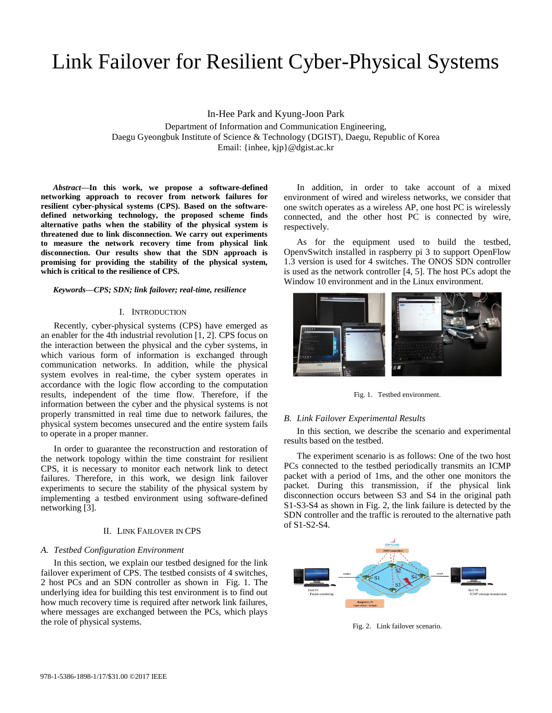# Link Failover for Resilient Cyber-Physical Systems

In-Hee Park and Kyung-Joon Park Department of Information and Communication Engineering, Daegu Gyeongbuk Institute of Science & Technology (DGIST), Daegu, Republic of Korea Email: {inhee, kjp}@dgist.ac.kr

*Abstract***—In this work, we propose a software-defined networking approach to recover from network failures for resilient cyber-physical systems (CPS). Based on the softwaredefined networking technology, the proposed scheme finds alternative paths when the stability of the physical system is threatened due to link disconnection. We carry out experiments to measure the network recovery time from physical link disconnection. Our results show that the SDN approach is promising for providing the stability of the physical system, which is critical to the resilience of CPS.** 

#### *Keywords—CPS; SDN; link failover; real-time, resilience*

## I. INTRODUCTION

Recently, cyber-physical systems (CPS) have emerged as an enabler for the 4th industrial revolution [1, 2]. CPS focus on the interaction between the physical and the cyber systems, in which various form of information is exchanged through communication networks. In addition, while the physical system evolves in real-time, the cyber system operates in accordance with the logic flow according to the computation results, independent of the time flow. Therefore, if the information between the cyber and the physical systems is not properly transmitted in real time due to network failures, the physical system becomes unsecured and the entire system fails to operate in a proper manner.

In order to guarantee the reconstruction and restoration of the network topology within the time constraint for resilient CPS, it is necessary to monitor each network link to detect failures. Therefore, in this work, we design link failover experiments to secure the stability of the physical system by implementing a testbed environment using software-defined networking [3].

## II. LINK FAILOVER IN CPS

## *A. Testbed Configuration Environment*

In this section, we explain our testbed designed for the link failover experiment of CPS. The testbed consists of 4 switches, 2 host PCs and an SDN controller as shown in Fig. 1. The underlying idea for building this test environment is to find out how much recovery time is required after network link failures, where messages are exchanged between the PCs, which plays the role of physical systems.

In addition, in order to take account of a mixed environment of wired and wireless networks, we consider that one switch operates as a wireless AP, one host PC is wirelessly connected, and the other host PC is connected by wire, respectively.

As for the equipment used to build the testbed, OpenvSwitch installed in raspberry pi 3 to support OpenFlow 1.3 version is used for 4 switches. The ONOS SDN controller is used as the network controller [4, 5]. The host PCs adopt the Window 10 environment and in the Linux environment.



Fig. 1. Testbed environment.

## *B. Link Failover Experimental Results*

In this section, we describe the scenario and experimental results based on the testbed.

The experiment scenario is as follows: One of the two host PCs connected to the testbed periodically transmits an ICMP packet with a period of 1ms, and the other one monitors the packet. During this transmission, if the physical link disconnection occurs between S3 and S4 in the original path S1-S3-S4 as shown in Fig. 2, the link failure is detected by the SDN controller and the traffic is rerouted to the alternative path of S1-S2-S4.



Fig. 2. Link failover scenario.